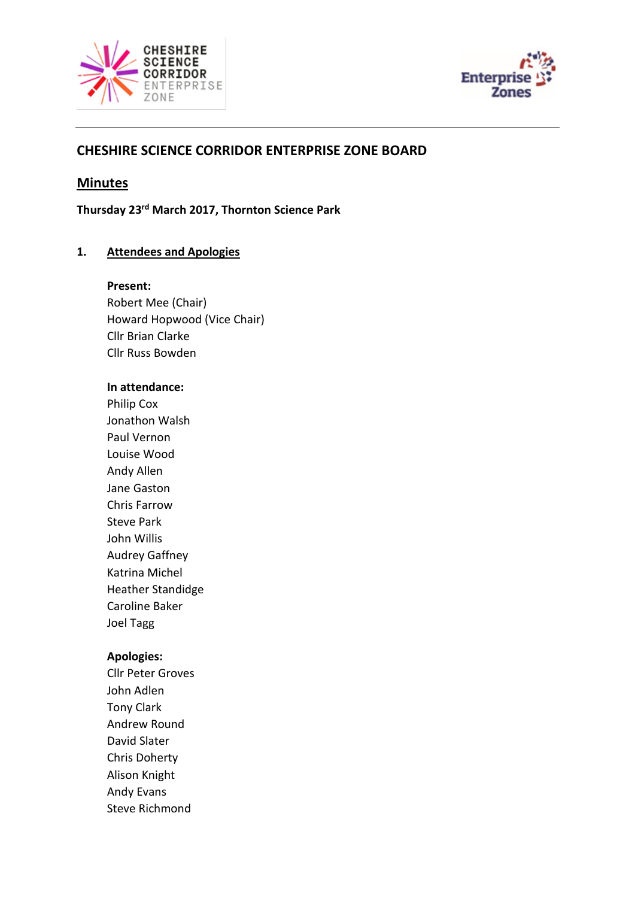



# **CHESHIRE SCIENCE CORRIDOR ENTERPRISE ZONE BOARD**

## **Minutes**

**Thursday 23rd March 2017, Thornton Science Park**

### **1. Attendees and Apologies**

#### **Present:**

Robert Mee (Chair) Howard Hopwood (Vice Chair) Cllr Brian Clarke Cllr Russ Bowden

#### **In attendance:**

Philip Cox Jonathon Walsh Paul Vernon Louise Wood Andy Allen Jane Gaston Chris Farrow Steve Park John Willis Audrey Gaffney Katrina Michel Heather Standidge Caroline Baker Joel Tagg

### **Apologies:**

Cllr Peter Groves John Adlen Tony Clark Andrew Round David Slater Chris Doherty Alison Knight Andy Evans Steve Richmond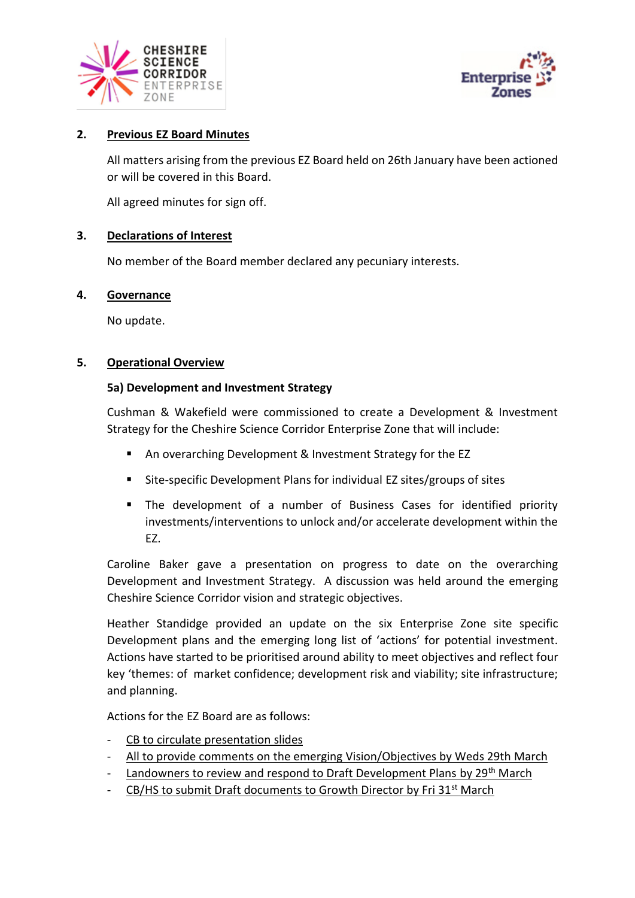



### **2. Previous EZ Board Minutes**

All matters arising from the previous EZ Board held on 26th January have been actioned or will be covered in this Board.

All agreed minutes for sign off.

### **3. Declarations of Interest**

No member of the Board member declared any pecuniary interests.

### **4. Governance**

No update.

### **5. Operational Overview**

### **5a) Development and Investment Strategy**

Cushman & Wakefield were commissioned to create a Development & Investment Strategy for the Cheshire Science Corridor Enterprise Zone that will include:

- An overarching Development & Investment Strategy for the EZ
- Site-specific Development Plans for individual EZ sites/groups of sites
- **•** The development of a number of Business Cases for identified priority investments/interventions to unlock and/or accelerate development within the EZ.

Caroline Baker gave a presentation on progress to date on the overarching Development and Investment Strategy. A discussion was held around the emerging Cheshire Science Corridor vision and strategic objectives.

Heather Standidge provided an update on the six Enterprise Zone site specific Development plans and the emerging long list of 'actions' for potential investment. Actions have started to be prioritised around ability to meet objectives and reflect four key 'themes: of market confidence; development risk and viability; site infrastructure; and planning.

Actions for the EZ Board are as follows:

- CB to circulate presentation slides
- All to provide comments on the emerging Vision/Objectives by Weds 29th March
- Landowners to review and respond to Draft Development Plans by 29<sup>th</sup> March
- CB/HS to submit Draft documents to Growth Director by Fri 31<sup>st</sup> March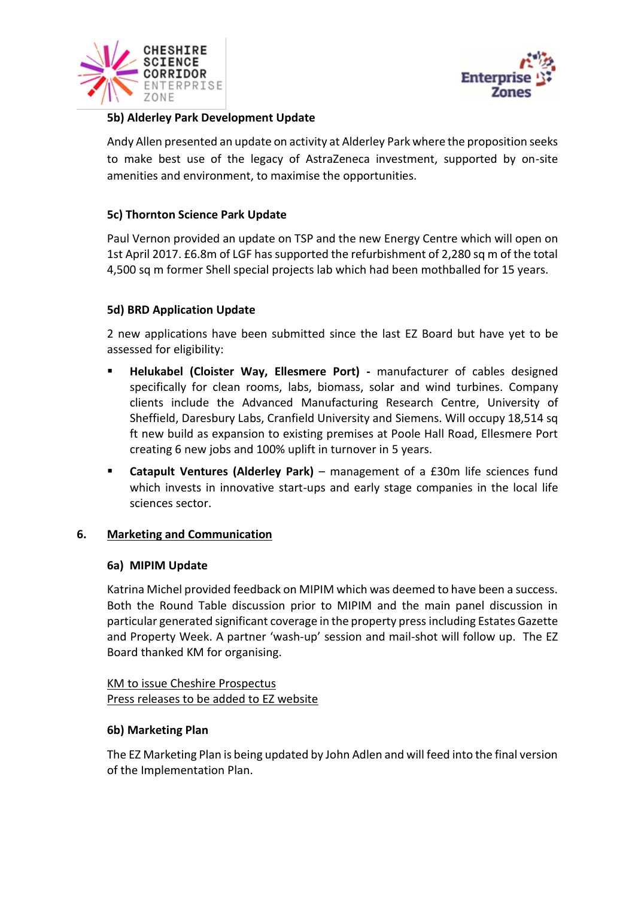



## **5b) Alderley Park Development Update**

Andy Allen presented an update on activity at Alderley Park where the proposition seeks to make best use of the legacy of AstraZeneca investment, supported by on-site amenities and environment, to maximise the opportunities.

## **5c) Thornton Science Park Update**

Paul Vernon provided an update on TSP and the new Energy Centre which will open on 1st April 2017. £6.8m of LGF has supported the refurbishment of 2,280 sq m of the total 4,500 sq m former Shell special projects lab which had been mothballed for 15 years.

## **5d) BRD Application Update**

2 new applications have been submitted since the last EZ Board but have yet to be assessed for eligibility:

- Helukabel (Cloister Way, Ellesmere Port) manufacturer of cables designed specifically for clean rooms, labs, biomass, solar and wind turbines. Company clients include the Advanced Manufacturing Research Centre, University of Sheffield, Daresbury Labs, Cranfield University and Siemens. Will occupy 18,514 sq ft new build as expansion to existing premises at Poole Hall Road, Ellesmere Port creating 6 new jobs and 100% uplift in turnover in 5 years.
- **Catapult Ventures (Alderley Park)** management of a £30m life sciences fund which invests in innovative start-ups and early stage companies in the local life sciences sector.

## **6. Marketing and Communication**

## **6a) MIPIM Update**

Katrina Michel provided feedback on MIPIM which was deemed to have been a success. Both the Round Table discussion prior to MIPIM and the main panel discussion in particular generated significant coverage in the property pressincluding Estates Gazette and Property Week. A partner 'wash-up' session and mail-shot will follow up. The EZ Board thanked KM for organising.

### KM to issue Cheshire Prospectus Press releases to be added to EZ website

## **6b) Marketing Plan**

The EZ Marketing Plan is being updated by John Adlen and will feed into the final version of the Implementation Plan.